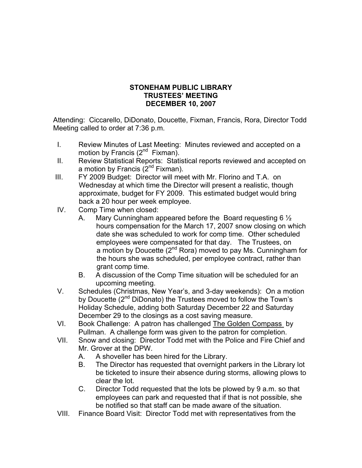## **STONEHAM PUBLIC LIBRARY TRUSTEES' MEETING DECEMBER 10, 2007**

Attending: Ciccarello, DiDonato, Doucette, Fixman, Francis, Rora, Director Todd Meeting called to order at 7:36 p.m.

- I. Review Minutes of Last Meeting: Minutes reviewed and accepted on a motion by Francis  $(2^{nd}$  Fixman).
- II. Review Statistical Reports: Statistical reports reviewed and accepted on a motion by Francis  $(2^{nd}$  Fixman).
- III. FY 2009 Budget: Director will meet with Mr. Florino and T.A. on Wednesday at which time the Director will present a realistic, though approximate, budget for FY 2009. This estimated budget would bring back a 20 hour per week employee.
- IV. Comp Time when closed:
	- A. Mary Cunningham appeared before the Board requesting 6 ½ hours compensation for the March 17, 2007 snow closing on which date she was scheduled to work for comp time. Other scheduled employees were compensated for that day. The Trustees, on a motion by Doucette  $(2^{nd}$  Rora) moved to pay Ms. Cunningham for the hours she was scheduled, per employee contract, rather than grant comp time.
	- B. A discussion of the Comp Time situation will be scheduled for an upcoming meeting.
- V. Schedules (Christmas, New Year's, and 3-day weekends): On a motion by Doucette (2<sup>nd</sup> DiDonato) the Trustees moved to follow the Town's Holiday Schedule, adding both Saturday December 22 and Saturday December 29 to the closings as a cost saving measure.
- VI. Book Challenge: A patron has challenged The Golden Compass by Pullman. A challenge form was given to the patron for completion.
- VII. Snow and closing: Director Todd met with the Police and Fire Chief and Mr. Grover at the DPW.
	- A. A shoveller has been hired for the Library.
	- B. The Director has requested that overnight parkers in the Library lot be ticketed to insure their absence during storms, allowing plows to clear the lot.
	- C. Director Todd requested that the lots be plowed by 9 a.m. so that employees can park and requested that if that is not possible, she be notified so that staff can be made aware of the situation.
- VIII. Finance Board Visit: Director Todd met with representatives from the